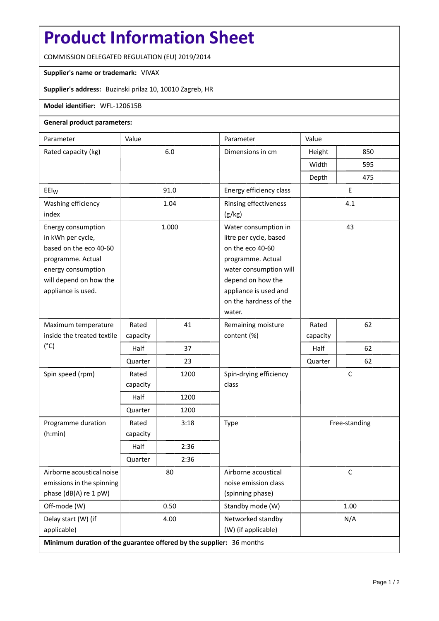## **Product Information Sheet**

COMMISSION DELEGATED REGULATION (EU) 2019/2014

## **Supplier's name or trademark:** VIVAX

**Supplier's address:** Buzinski prilaz 10, 10010 Zagreb, HR

## **Model identifier:** WFL-120615B

## **General product parameters:**

| Parameter                                                            | Value    |      | Parameter                                  | Value       |               |  |
|----------------------------------------------------------------------|----------|------|--------------------------------------------|-------------|---------------|--|
| Rated capacity (kg)                                                  | 6.0      |      | Dimensions in cm                           | Height      | 850           |  |
|                                                                      |          |      |                                            | Width       | 595           |  |
|                                                                      |          |      |                                            | Depth       | 475           |  |
| EEI <sub>W</sub>                                                     | 91.0     |      | Energy efficiency class                    | E           |               |  |
| Washing efficiency                                                   | 1.04     |      | Rinsing effectiveness                      | 4.1         |               |  |
| index                                                                |          |      | (g/kg)                                     |             |               |  |
| Energy consumption                                                   | 1.000    |      | Water consumption in                       | 43          |               |  |
| in kWh per cycle,                                                    |          |      | litre per cycle, based                     |             |               |  |
| based on the eco 40-60                                               |          |      | on the eco 40-60                           |             |               |  |
| programme. Actual                                                    |          |      | programme. Actual                          |             |               |  |
| energy consumption                                                   |          |      | water consumption will                     |             |               |  |
| will depend on how the                                               |          |      | depend on how the<br>appliance is used and |             |               |  |
| appliance is used.                                                   |          |      | on the hardness of the                     |             |               |  |
|                                                                      |          |      | water.                                     |             |               |  |
| Maximum temperature                                                  | Rated    | 41   | Remaining moisture                         | Rated       | 62            |  |
| inside the treated textile                                           | capacity |      | content (%)                                | capacity    |               |  |
| $(^{\circ}C)$                                                        | Half     | 37   |                                            | Half        | 62            |  |
|                                                                      | Quarter  | 23   |                                            | Quarter     | 62            |  |
| Spin speed (rpm)                                                     | Rated    | 1200 | Spin-drying efficiency                     |             | C             |  |
|                                                                      | capacity |      | class                                      |             |               |  |
|                                                                      | Half     | 1200 |                                            |             |               |  |
|                                                                      | Quarter  | 1200 |                                            |             |               |  |
| Programme duration                                                   | Rated    | 3:18 | Type                                       |             | Free-standing |  |
| (h:min)                                                              | capacity |      |                                            |             |               |  |
|                                                                      | Half     | 2:36 |                                            |             |               |  |
|                                                                      | Quarter  | 2:36 |                                            |             |               |  |
| Airborne acoustical noise                                            | 80       |      | Airborne acoustical                        | $\mathsf C$ |               |  |
| emissions in the spinning                                            |          |      | noise emission class                       |             |               |  |
| phase (dB(A) re 1 pW)                                                |          |      | (spinning phase)                           |             |               |  |
| Off-mode (W)                                                         | 0.50     |      | Standby mode (W)                           | 1.00        |               |  |
| Delay start (W) (if                                                  | 4.00     |      | Networked standby                          | N/A         |               |  |
| applicable)                                                          |          |      | (W) (if applicable)                        |             |               |  |
| Minimum duration of the guarantee offered by the supplier: 36 months |          |      |                                            |             |               |  |